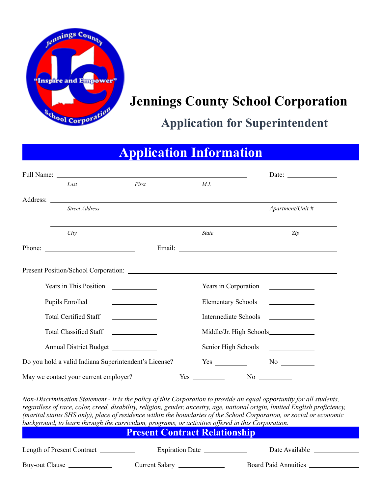

# **Jennings County School Corporation**

## **Application for Superintendent**

# **Application Information**

| Full Name:                                                                                                                                                                                                                           |                                                                                                                      |                             | Date: $\_\_$                                                                                                                                                                                                                                                                                                                                                                  |  |
|--------------------------------------------------------------------------------------------------------------------------------------------------------------------------------------------------------------------------------------|----------------------------------------------------------------------------------------------------------------------|-----------------------------|-------------------------------------------------------------------------------------------------------------------------------------------------------------------------------------------------------------------------------------------------------------------------------------------------------------------------------------------------------------------------------|--|
| Last                                                                                                                                                                                                                                 | First                                                                                                                | M.I.                        |                                                                                                                                                                                                                                                                                                                                                                               |  |
| Address: <u>the contract of the contract of the contract of the contract of the contract of the contract of the contract of the contract of the contract of the contract of the contract of the contract of the contract of the </u> |                                                                                                                      |                             |                                                                                                                                                                                                                                                                                                                                                                               |  |
| Street Address                                                                                                                                                                                                                       |                                                                                                                      |                             | Apartment/Unit #                                                                                                                                                                                                                                                                                                                                                              |  |
|                                                                                                                                                                                                                                      |                                                                                                                      |                             |                                                                                                                                                                                                                                                                                                                                                                               |  |
| City                                                                                                                                                                                                                                 |                                                                                                                      | <b>State</b>                | Zip                                                                                                                                                                                                                                                                                                                                                                           |  |
| Phone: $\frac{1}{\sqrt{1-\frac{1}{2}} \cdot \frac{1}{2}}$                                                                                                                                                                            |                                                                                                                      |                             |                                                                                                                                                                                                                                                                                                                                                                               |  |
|                                                                                                                                                                                                                                      |                                                                                                                      |                             |                                                                                                                                                                                                                                                                                                                                                                               |  |
| Years in This Position                                                                                                                                                                                                               | <u> 1989 - Jan Stein Stein Stein Stein Stein Stein Stein Stein Stein Stein Stein Stein Stein Stein Stein Stein S</u> | Years in Corporation        |                                                                                                                                                                                                                                                                                                                                                                               |  |
| Pupils Enrolled                                                                                                                                                                                                                      | <u> 1990 - Johann Barbara, martin a</u>                                                                              | <b>Elementary Schools</b>   | <u> The Community of the Community of the Community of the Community of the Community of the Community of the Community of the Community of the Community of the Community of the Community of the Community of the Community of</u>                                                                                                                                          |  |
| <b>Total Certified Staff</b>                                                                                                                                                                                                         |                                                                                                                      | <b>Intermediate Schools</b> | <u> a shekara ta 1999 a shekara ta 1991 a shekara ta 1991 a shekara ta 1991 a shekara ta 1991 a shekara ta 1991 a</u>                                                                                                                                                                                                                                                         |  |
| <b>Total Classified Staff</b>                                                                                                                                                                                                        | <u> 1999 - Andrea State</u>                                                                                          |                             |                                                                                                                                                                                                                                                                                                                                                                               |  |
| Annual District Budget                                                                                                                                                                                                               |                                                                                                                      | Senior High Schools         |                                                                                                                                                                                                                                                                                                                                                                               |  |
| Do you hold a valid Indiana Superintendent's License?                                                                                                                                                                                |                                                                                                                      | Yes                         |                                                                                                                                                                                                                                                                                                                                                                               |  |
| May we contact your current employer?                                                                                                                                                                                                |                                                                                                                      |                             |                                                                                                                                                                                                                                                                                                                                                                               |  |
| background, to learn through the curriculum, programs, or activities offered in this Corporation.                                                                                                                                    |                                                                                                                      |                             | Non-Discrimination Statement - It is the policy of this Corporation to provide an equal opportunity for all students,<br>regardless of race, color, creed, disability, religion, gender, ancestry, age, national origin, limited English proficiency,<br>(marital status SHS only), place of residence within the boundaries of the School Corporation, or social or economic |  |
|                                                                                                                                                                                                                                      | <b>Present Contract Relationship</b>                                                                                 |                             |                                                                                                                                                                                                                                                                                                                                                                               |  |

| Length of Present Contract | <b>Expiration Date</b> | Date Available              |
|----------------------------|------------------------|-----------------------------|
| Buy-out Clause             | <b>Current Salary</b>  | <b>Board Paid Annuities</b> |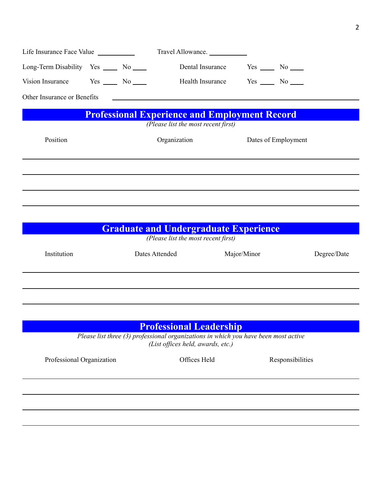|                                          |              | Travel Allowance.                                    |                        |                     |
|------------------------------------------|--------------|------------------------------------------------------|------------------------|---------------------|
| Long-Term Disability Yes ______ No _____ |              | Dental Insurance                                     | $Yes \_\_\_ No \_\_\_$ |                     |
| Vision Insurance Yes No No No            |              | <b>Health Insurance</b>                              | $Yes \_\_ No \_\_$     |                     |
| Other Insurance or Benefits              |              |                                                      |                        |                     |
|                                          |              | <b>Professional Experience and Employment Record</b> |                        |                     |
|                                          |              | (Please list the most recent first)                  |                        |                     |
| Position                                 | Organization |                                                      |                        | Dates of Employment |
|                                          |              |                                                      |                        |                     |
|                                          |              |                                                      |                        |                     |
|                                          |              |                                                      |                        |                     |
|                                          |              |                                                      |                        |                     |

|             | <b>Graduate and Undergraduate Experience</b><br>(Please list the most recent first) |             |             |
|-------------|-------------------------------------------------------------------------------------|-------------|-------------|
| Institution | Dates Attended                                                                      | Major/Minor | Degree/Date |
|             |                                                                                     |             |             |
|             |                                                                                     |             |             |

| <b>Professional Leadership</b><br>Please list three $(3)$ professional organizations in which you have been most active<br>(List offices held, awards, etc.) |              |                  |  |
|--------------------------------------------------------------------------------------------------------------------------------------------------------------|--------------|------------------|--|
| Professional Organization                                                                                                                                    | Offices Held | Responsibilities |  |
|                                                                                                                                                              |              |                  |  |
|                                                                                                                                                              |              |                  |  |
|                                                                                                                                                              |              |                  |  |
|                                                                                                                                                              |              |                  |  |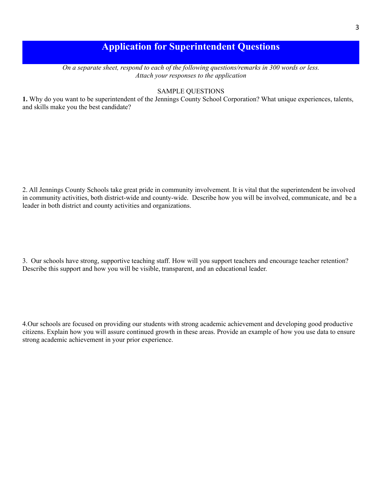## **Application for Superintendent Questions**

*On a separate sheet, respond to each of the following questions/remarks in 300 words or less. Attach your responses to the application*

#### SAMPLE QUESTIONS

**1.** Why do you want to be superintendent of the Jennings County School Corporation? What unique experiences, talents, and skills make you the best candidate?

2. All Jennings County Schools take great pride in community involvement. It is vital that the superintendent be involved in community activities, both district-wide and county-wide. Describe how you will be involved, communicate, and be a leader in both district and county activities and organizations.

3. Our schools have strong, supportive teaching staff. How will you support teachers and encourage teacher retention? Describe this support and how you will be visible, transparent, and an educational leader.

4.Our schools are focused on providing our students with strong academic achievement and developing good productive citizens. Explain how you will assure continued growth in these areas. Provide an example of how you use data to ensure strong academic achievement in your prior experience.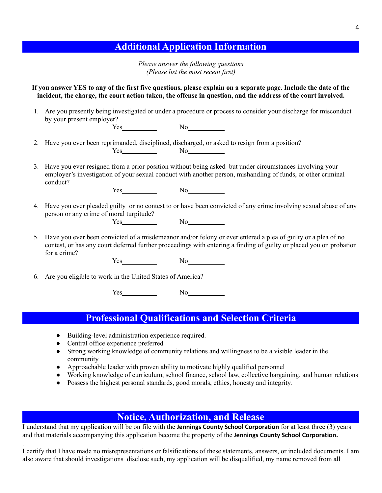### **Additional Application Information**

*Please answer the following questions (Please list the most recent first)*

**If you answer YES to any of the first five questions, please explain on a separate page. Include the date of the incident, the charge, the court action taken, the offense in question, and the address of the court involved.**

- 1. Are you presently being investigated or under a procedure or process to consider your discharge for misconduct by your present employer?  $Yes \t\t No$
- 2. Have you ever been reprimanded, disciplined, discharged, or asked to resign from a position? Yes No
- 3. Have you ever resigned from a prior position without being asked but under circumstances involving your employer's investigation of your sexual conduct with another person, mishandling of funds, or other criminal conduct?

Yes No

- 4. Have you ever pleaded guilty or no contest to or have been convicted of any crime involving sexual abuse of any person or any crime of moral turpitude? Yes No
- 5. Have you ever been convicted of a misdemeanor and/or felony or ever entered a plea of guilty or a plea of no contest, or has any court deferred further proceedings with entering a finding of guilty or placed you on probation for a crime?

Yes No

6. Are you eligible to work in the United States of America?

Yes No

#### **Professional Qualifications and Selection Criteria**

- Building-level administration experience required.
- Central office experience preferred

.

- Strong working knowledge of community relations and willingness to be a visible leader in the community
- Approachable leader with proven ability to motivate highly qualified personnel
- Working knowledge of curriculum, school finance, school law, collective bargaining, and human relations
- Possess the highest personal standards, good morals, ethics, honesty and integrity.

#### **Notice, Authorization, and Release**

I understand that my application will be on file with the **Jennings County School Corporation** for at least three (3) years and that materials accompanying this application become the property of the **Jennings County School Corporation.**

I certify that I have made no misrepresentations or falsifications of these statements, answers, or included documents. I am also aware that should investigations disclose such, my application will be disqualified, my name removed from all